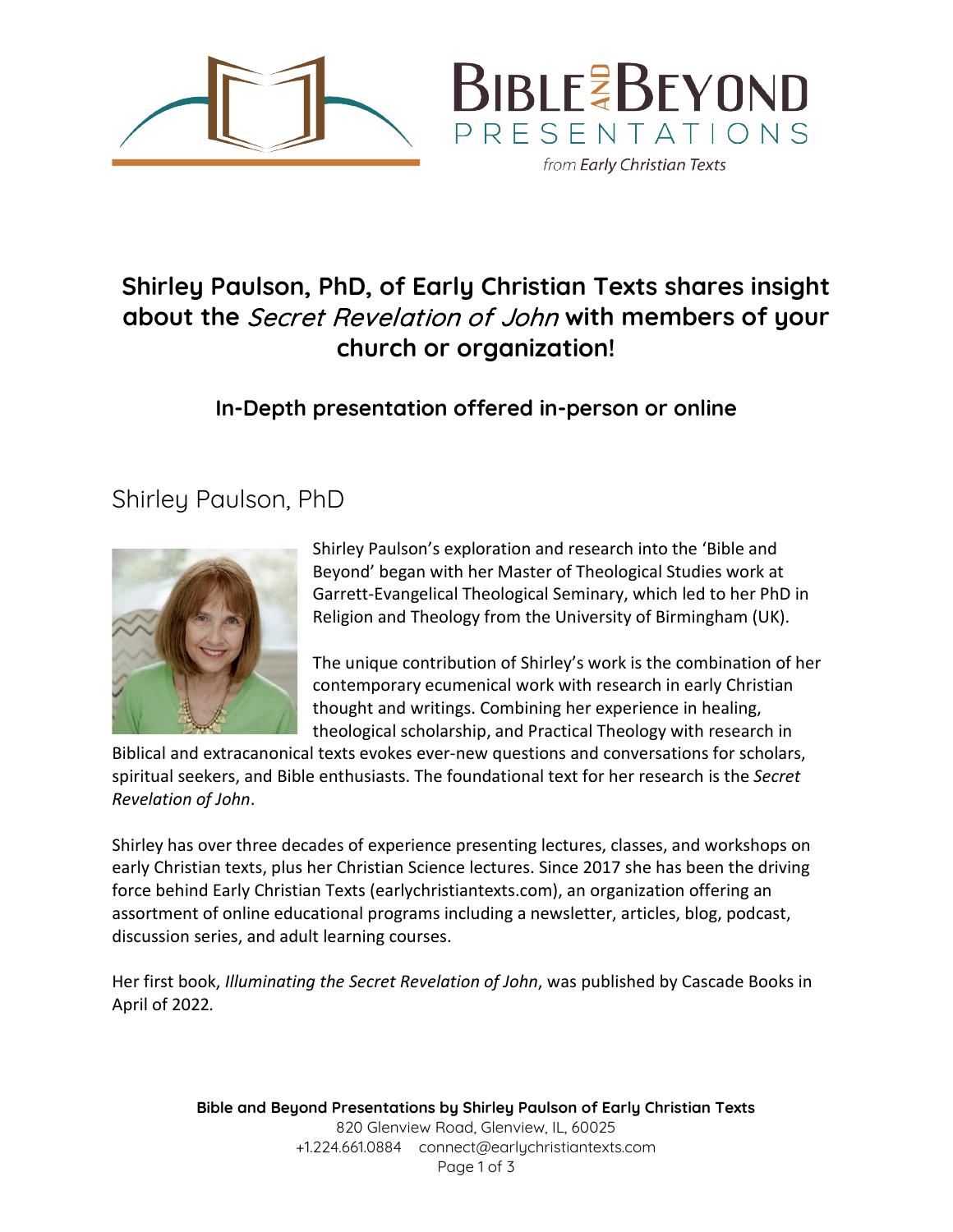

# **Shirley Paulson, PhD, of Early Christian Texts shares insight about the** Secret Revelation of John **with members of your church or organization!**

#### **In-Depth presentation offered in-person or online**

## Shirley Paulson, PhD



Shirley Paulson's exploration and research into the 'Bible and Beyond' began with her Master of Theological Studies work at Garrett-Evangelical Theological Seminary, which led to her PhD in Religion and Theology from the University of Birmingham (UK).

**BIBLEZE BEYOND** 

PRESENTATIONS

from Early Christian Texts

The unique contribution of Shirley's work is the combination of her contemporary ecumenical work with research in early Christian thought and writings. Combining her experience in healing, theological scholarship, and Practical Theology with research in

Biblical and extracanonical texts evokes ever-new questions and conversations for scholars, spiritual seekers, and Bible enthusiasts. The foundational text for her research is the *Secret Revelation of John*.

Shirley has over three decades of experience presenting lectures, classes, and workshops on early Christian texts, plus her Christian Science lectures. Since 2017 she has been the driving force behind Early Christian Texts (earlychristiantexts.com), an organization offering an assortment of online educational programs including a newsletter, articles, blog, podcast, discussion series, and adult learning courses.

Her first book, *Illuminating the Secret Revelation of John*, was published by Cascade Books in April of 2022*.*

> **Bible and Beyond Presentations by Shirley Paulson of Early Christian Texts** 820 Glenview Road, Glenview, IL, 60025 +1.224.661.0884 connect@earlychristiantexts.com Page 1 of 3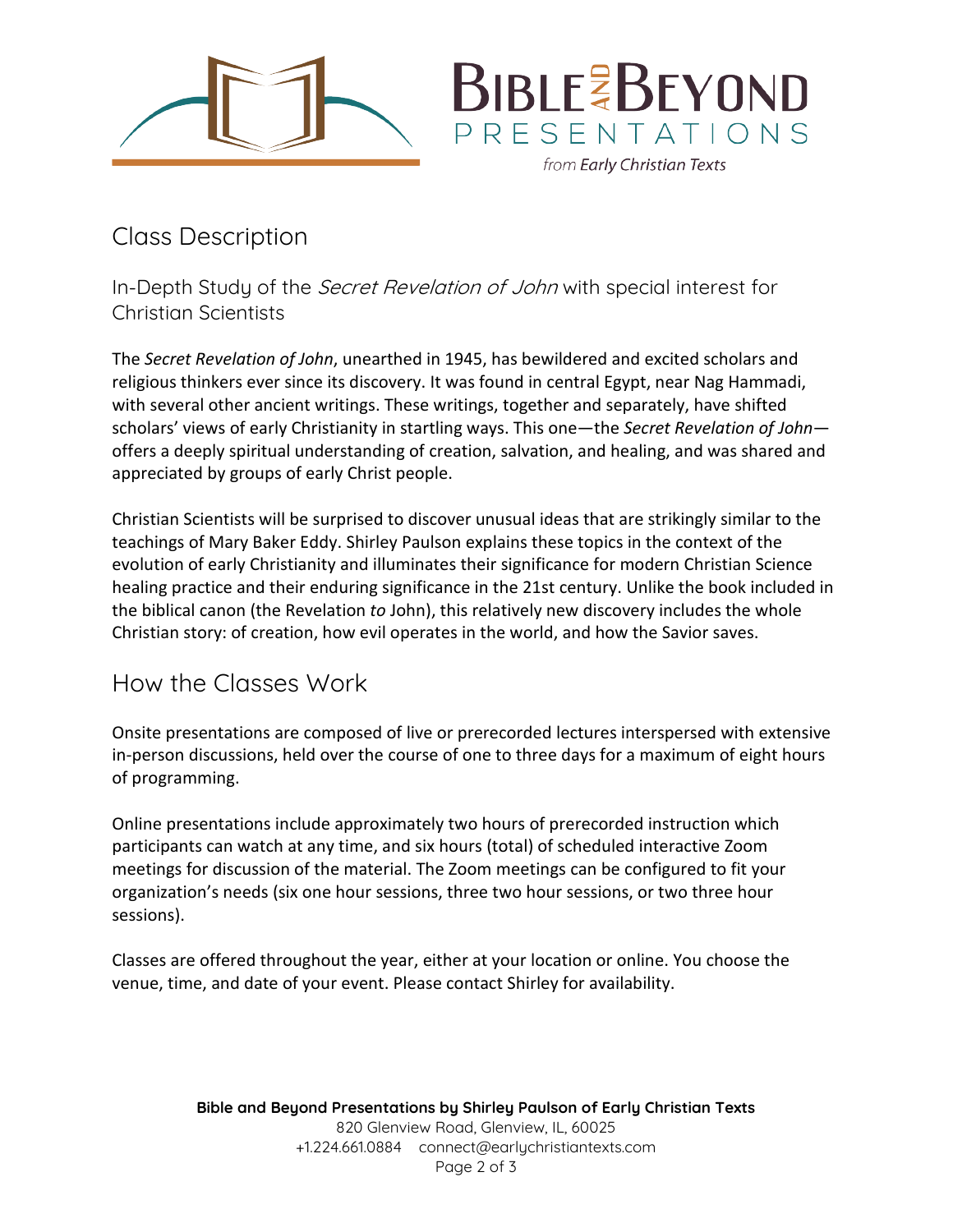

**BIBLEZE BEYOND** PRESENTATIONS

from Early Christian Texts

# Class Description

#### In-Depth Study of the *Secret Revelation of John* with special interest for Christian Scientists

The *Secret Revelation of John*, unearthed in 1945, has bewildered and excited scholars and religious thinkers ever since its discovery. It was found in central Egypt, near Nag Hammadi, with several other ancient writings. These writings, together and separately, have shifted scholars' views of early Christianity in startling ways. This one—the *Secret Revelation of John* offers a deeply spiritual understanding of creation, salvation, and healing, and was shared and appreciated by groups of early Christ people.

Christian Scientists will be surprised to discover unusual ideas that are strikingly similar to the teachings of Mary Baker Eddy. Shirley Paulson explains these topics in the context of the evolution of early Christianity and illuminates their significance for modern Christian Science healing practice and their enduring significance in the 21st century. Unlike the book included in the biblical canon (the Revelation *to* John), this relatively new discovery includes the whole Christian story: of creation, how evil operates in the world, and how the Savior saves.

## How the Classes Work

Onsite presentations are composed of live or prerecorded lectures interspersed with extensive in-person discussions, held over the course of one to three days for a maximum of eight hours of programming.

Online presentations include approximately two hours of prerecorded instruction which participants can watch at any time, and six hours (total) of scheduled interactive Zoom meetings for discussion of the material. The Zoom meetings can be configured to fit your organization's needs (six one hour sessions, three two hour sessions, or two three hour sessions).

Classes are offered throughout the year, either at your location or online. You choose the venue, time, and date of your event. Please contact Shirley for availability.